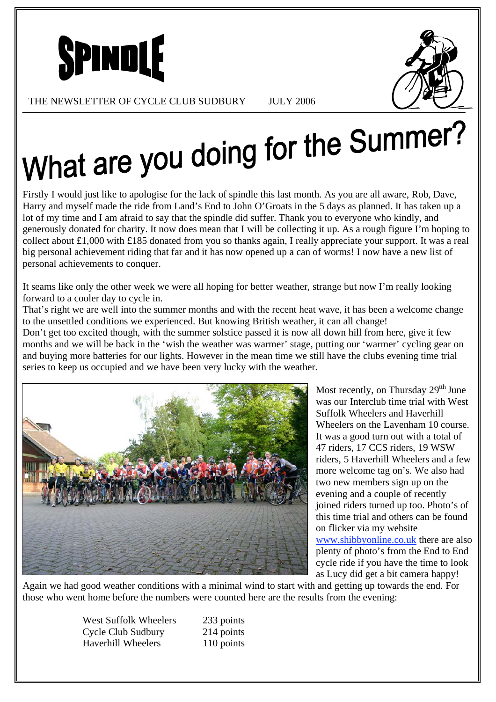



THE NEWSLETTER OF CYCLE CLUB SUDBURY JULY 2006

# What are you doing for the Summer?

Firstly I would just like to apologise for the lack of spindle this last month. As you are all aware, Rob, Dave, Harry and myself made the ride from Land's End to John O'Groats in the 5 days as planned. It has taken up a lot of my time and I am afraid to say that the spindle did suffer. Thank you to everyone who kindly, and generously donated for charity. It now does mean that I will be collecting it up. As a rough figure I'm hoping to collect about £1,000 with £185 donated from you so thanks again, I really appreciate your support. It was a real big personal achievement riding that far and it has now opened up a can of worms! I now have a new list of personal achievements to conquer.

It seams like only the other week we were all hoping for better weather, strange but now I'm really looking forward to a cooler day to cycle in.

That's right we are well into the summer months and with the recent heat wave, it has been a welcome change to the unsettled conditions we experienced. But knowing British weather, it can all change!

Don't get too excited though, with the summer solstice passed it is now all down hill from here, give it few months and we will be back in the 'wish the weather was warmer' stage, putting our 'warmer' cycling gear on and buying more batteries for our lights. However in the mean time we still have the clubs evening time trial series to keep us occupied and we have been very lucky with the weather.



Most recently, on Thursday  $29<sup>th</sup>$  June was our Interclub time trial with West Suffolk Wheelers and Haverhill Wheelers on the Lavenham 10 course. It was a good turn out with a total of 47 riders, 17 CCS riders, 19 WSW riders, 5 Haverhill Wheelers and a few more welcome tag on's. We also had two new members sign up on the evening and a couple of recently joined riders turned up too. Photo's of this time trial and others can be found on flicker via my website www.shibbyonline.co.uk there are also plenty of photo's from the End to End cycle ride if you have the time to look as Lucy did get a bit camera happy!

Again we had good weather conditions with a minimal wind to start with and getting up towards the end. For those who went home before the numbers were counted here are the results from the evening:

> West Suffolk Wheelers 233 points Cycle Club Sudbury 214 points Haverhill Wheelers 110 points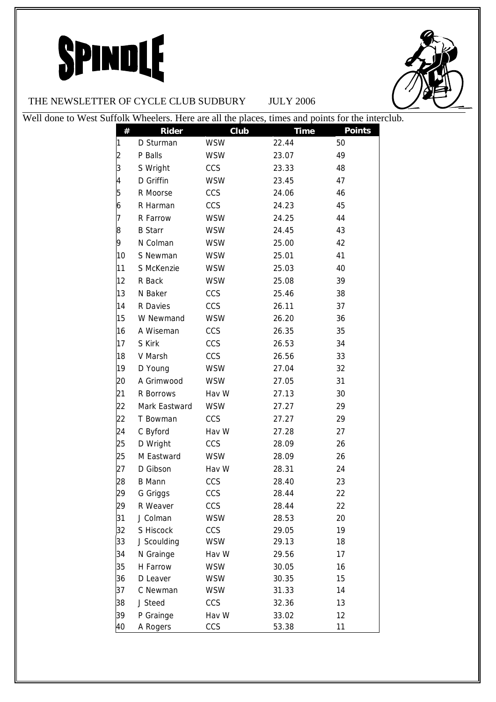

#### THE NEWSLETTER OF CYCLE CLUB SUDBURY JULY 2006

| Well done to West Suffolk Wheelers. Here are all the places, times and points for the interclub. |    |                |            |             |               |
|--------------------------------------------------------------------------------------------------|----|----------------|------------|-------------|---------------|
|                                                                                                  | #  | <b>Rider</b>   | Club       | <b>Time</b> | <b>Points</b> |
|                                                                                                  |    | D Sturman      | <b>WSW</b> | 22.44       | 50            |
|                                                                                                  |    | P Balls        | <b>WSW</b> | 23.07       | 49            |
|                                                                                                  |    | S Wright       | <b>CCS</b> | 23.33       | 48            |
|                                                                                                  | 4  | D Griffin      | <b>WSW</b> | 23.45       | 47            |
|                                                                                                  |    | R Moorse       | CCS        | 24.06       | 46            |
|                                                                                                  |    | R Harman       | CCS        | 24.23       | 45            |
|                                                                                                  |    | R Farrow       | <b>WSW</b> | 24.25       | 44            |
|                                                                                                  | 8  | <b>B</b> Starr | <b>WSW</b> | 24.45       | 43            |
|                                                                                                  | 9  | N Colman       | <b>WSW</b> | 25.00       | 42            |
|                                                                                                  | 10 | S Newman       | <b>WSW</b> | 25.01       | 41            |
|                                                                                                  | 11 | S McKenzie     | <b>WSW</b> | 25.03       | 40            |
|                                                                                                  | 12 | R Back         | <b>WSW</b> | 25.08       | 39            |
|                                                                                                  | 13 | N Baker        | CCS        | 25.46       | 38            |
|                                                                                                  | 14 | R Davies       | CCS        | 26.11       | 37            |
|                                                                                                  | 15 | W Newmand      | <b>WSW</b> | 26.20       | 36            |
|                                                                                                  | 16 | A Wiseman      | CCS        | 26.35       | 35            |
|                                                                                                  | 17 | S Kirk         | CCS        | 26.53       | 34            |
|                                                                                                  | 18 | V Marsh        | CCS        | 26.56       | 33            |
|                                                                                                  | 19 | D Young        | <b>WSW</b> | 27.04       | 32            |
|                                                                                                  | 20 | A Grimwood     | <b>WSW</b> | 27.05       | 31            |
|                                                                                                  | 21 | R Borrows      | Hav W      | 27.13       | 30            |
|                                                                                                  | 22 | Mark Eastward  | <b>WSW</b> | 27.27       | 29            |
|                                                                                                  | 22 | T Bowman       | CCS        | 27.27       | 29            |
|                                                                                                  | 24 | C Byford       | Hav W      | 27.28       | 27            |
|                                                                                                  | 25 | D Wright       | CCS        | 28.09       | 26            |
|                                                                                                  | 25 | M Eastward     | <b>WSW</b> | 28.09       | 26            |
|                                                                                                  | 27 | D Gibson       | Hav W      | 28.31       | 24            |
|                                                                                                  | 28 | <b>B</b> Mann  | <b>CCS</b> | 28.40       | 23            |
|                                                                                                  | 29 | G Griggs       | CCS        | 28.44       | 22            |
|                                                                                                  | 29 | R Weaver       | CCS        | 28.44       | 22            |
|                                                                                                  | 31 | J Colman       | <b>WSW</b> | 28.53       | 20            |
|                                                                                                  | 32 | S Hiscock      | CCS        | 29.05       | 19            |
|                                                                                                  | 33 | J Scoulding    | <b>WSW</b> | 29.13       | 18            |
|                                                                                                  | 34 | N Grainge      | Hav W      | 29.56       | 17            |
|                                                                                                  | 35 | H Farrow       | <b>WSW</b> | 30.05       | 16            |
|                                                                                                  | 36 | D Leaver       | <b>WSW</b> | 30.35       | 15            |
|                                                                                                  | 37 | C Newman       | <b>WSW</b> | 31.33       | 14            |
|                                                                                                  | 38 | J Steed        | <b>CCS</b> | 32.36       | 13            |
|                                                                                                  | 39 | P Grainge      | Hav W      | 33.02       | 12            |
|                                                                                                  | 40 | A Rogers       | CCS        | 53.38       | 11            |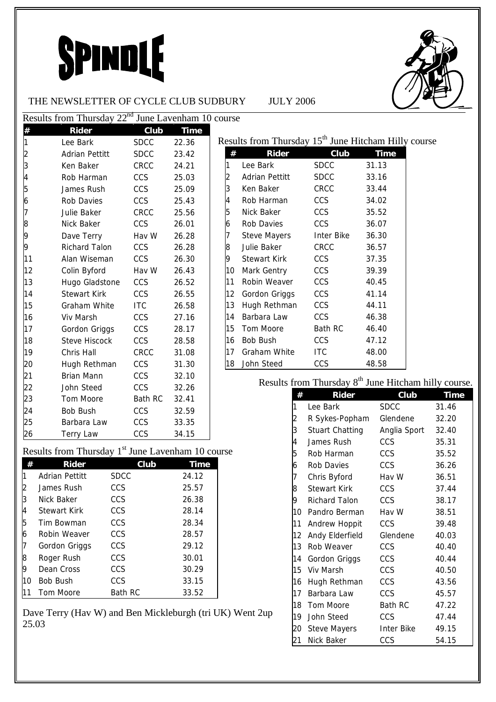

#### THE NEWSLETTER OF CYCLE CLUB SUDBURY JULY 2006

|                                                               | Results from Thursday 22 <sup>nd</sup> June Lavenham 10 course |                |             |        |
|---------------------------------------------------------------|----------------------------------------------------------------|----------------|-------------|--------|
| $\frac{\#}{1}$                                                | <b>Rider</b>                                                   | Club           | <b>Time</b> |        |
|                                                               | Lee Bark                                                       | <b>SDCC</b>    | 22.36       | Resul  |
|                                                               | <b>Adrian Pettitt</b>                                          | <b>SDCC</b>    | 23.42       | #      |
| $\frac{2}{3}$                                                 | Ken Baker                                                      | <b>CRCC</b>    | 24.21       | 1      |
| $\overline{4}$                                                | Rob Harman                                                     | CCS            | 25.03       |        |
| 5                                                             | James Rush                                                     | CCS            | 25.09       | 2<br>3 |
| 6                                                             | <b>Rob Davies</b>                                              | CCS            | 25.43       | 4      |
| 7                                                             | Julie Baker                                                    | CRCC           | 25.56       | 5      |
| 8                                                             | Nick Baker                                                     | <b>CCS</b>     | 26.01       | 6      |
| 9                                                             | Dave Terry                                                     | Hav W          | 26.28       | 7      |
| 9                                                             | <b>Richard Talon</b>                                           | <b>CCS</b>     | 26.28       | 8      |
| 11                                                            | Alan Wiseman                                                   | CCS            | 26.30       | 9      |
| 12                                                            | Colin Byford                                                   | Hav W          | 26.43       | 10     |
| 13                                                            | Hugo Gladstone                                                 | CCS            | 26.52       | 11     |
| 14                                                            | <b>Stewart Kirk</b>                                            | CCS            | 26.55       | 12     |
| 15                                                            | Graham White                                                   | <b>ITC</b>     | 26.58       | 13     |
| 16                                                            | Viv Marsh                                                      | CCS            | 27.16       | 14     |
| 17                                                            | Gordon Griggs                                                  | CCS            | 28.17       | 15     |
| 18                                                            | <b>Steve Hiscock</b>                                           | CCS            | 28.58       | 16     |
| 19                                                            | Chris Hall                                                     | <b>CRCC</b>    | 31.08       | 17     |
| 20                                                            | Hugh Rethman                                                   | CCS            | 31.30       | 18     |
| 21                                                            | <b>Brian Mann</b>                                              | CCS            | 32.10       |        |
| 22                                                            | John Steed                                                     | CCS            | 32.26       |        |
| 23                                                            | Tom Moore                                                      | <b>Bath RC</b> | 32.41       |        |
| 24                                                            | Bob Bush                                                       | <b>CCS</b>     | 32.59       |        |
| 25                                                            | Barbara Law                                                    | CCS            | 33.35       |        |
| 26                                                            | <b>Terry Law</b>                                               | CCS            | 34.15       |        |
| Results from Thursday 1 <sup>st</sup> June Lavenham 10 course |                                                                |                |             |        |

|    | $1000$ $1011$ $11000$ $00$ |                | $\frac{1}{2}$ |
|----|----------------------------|----------------|---------------|
| #  | Rider                      | Club           | <b>Time</b>   |
|    | Adrian Pettitt             | <b>SDCC</b>    | 24.12         |
| 2  | James Rush                 | CCS            | 25.57         |
| 3  | Nick Baker                 | <b>CCS</b>     | 26.38         |
| 4  | <b>Stewart Kirk</b>        | CCS            | 28.14         |
| 5  | Tim Bowman                 | CCS            | 28.34         |
| 6  | Robin Weaver               | CCS            | 28.57         |
|    | Gordon Griggs              | <b>CCS</b>     | 29.12         |
| 8  | Roger Rush                 | CCS            | 30.01         |
| 9  | Dean Cross                 | CCS            | 30.29         |
| 10 | Bob Bush                   | CCS            | 33.15         |
|    | Tom Moore                  | <b>Bath RC</b> | 33.52         |

Dave Terry (Hav W) and Ben Mickleburgh (tri UK) Went 2up 25.03

|    |                 |                | Results from Thursday 15 <sup>th</sup> June Hitcham Hilly course |
|----|-----------------|----------------|------------------------------------------------------------------|
| #  | <b>Rider</b>    | Club           | Time                                                             |
| 1  | Lee Bark        | <b>SDCC</b>    | 31.13                                                            |
| 2  | Adrian Pettitt  | SDCC           | 33.16                                                            |
| 3  | Ken Baker       | <b>CRCC</b>    | 33.44                                                            |
| 4  | Rob Harman      | CCS            | 34.02                                                            |
| 5  | Nick Baker      | <b>CCS</b>     | 35.52                                                            |
| 6  | Rob Davies      | <b>CCS</b>     | 36.07                                                            |
| 7  | Steve Mayers    | Inter Bike     | 36.30                                                            |
| 8  | Julie Baker     | <b>CRCC</b>    | 36.57                                                            |
| 9  | Stewart Kirk    | <b>CCS</b>     | 37.35                                                            |
| 10 | Mark Gentry     | <b>CCS</b>     | 39.39                                                            |
| 11 | Robin Weaver    | <b>CCS</b>     | 40.45                                                            |
| 12 | Gordon Griggs   | <b>CCS</b>     | 41.14                                                            |
| 13 | Hugh Rethman    | <b>CCS</b>     | 44.11                                                            |
| 14 | Barbara Law     | <b>CCS</b>     | 46.38                                                            |
| 15 | Tom Moore       | <b>Bath RC</b> | 46.40                                                            |
| 16 | <b>Bob Bush</b> | <b>CCS</b>     | 47.12                                                            |
| 17 | Graham White    | <b>ITC</b>     | 48.00                                                            |
| 18 | John Steed      | CCS            | 48.58                                                            |

Results from Thursday  $8<sup>th</sup>$  June Hitcham hilly course.

| #                       | <b>Rider</b>           | Club           | <b>Time</b> |
|-------------------------|------------------------|----------------|-------------|
| 1                       | Lee Bark               | <b>SDCC</b>    | 31.46       |
| $\overline{\mathbf{c}}$ | R Sykes-Popham         | Glendene       | 32.20       |
| 3                       | <b>Stuart Chatting</b> | Anglia Sport   | 32.40       |
| 4                       | James Rush             | CCS            | 35.31       |
| 5                       | Rob Harman             | <b>CCS</b>     | 35.52       |
| 6                       | Rob Davies             | <b>CCS</b>     | 36.26       |
| 7                       | Chris Byford           | Hav W          | 36.51       |
| 8                       | <b>Stewart Kirk</b>    | CCS            | 37.44       |
| 9                       | <b>Richard Talon</b>   | CCS            | 38.17       |
| 10 <sup>1</sup>         | Pandro Berman          | Hav W          | 38.51       |
| 11                      | Andrew Hoppit          | CCS            | 39.48       |
| 12                      | Andy Elderfield        | Glendene       | 40.03       |
| 13                      | Rob Weaver             | CCS            | 40.40       |
| 14                      | Gordon Griggs          | <b>CCS</b>     | 40.44       |
| 15                      | Viv Marsh              | CCS            | 40.50       |
| 16                      | Hugh Rethman           | <b>CCS</b>     | 43.56       |
| 17                      | Barbara Law            | CCS            | 45.57       |
| 18                      | Tom Moore              | <b>Bath RC</b> | 47.22       |
| 19                      | John Steed             | CCS            | 47.44       |
| 20                      | <b>Steve Mayers</b>    | Inter Bike     | 49.15       |
| 21                      | Nick Baker             | CCS            | 54.15       |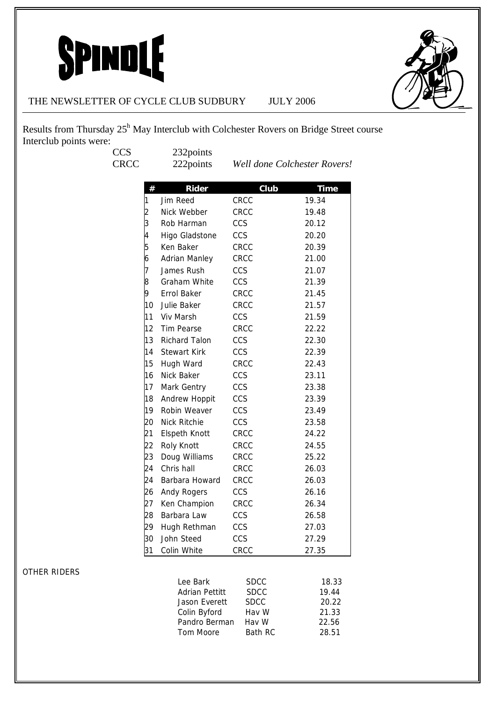

#### THE NEWSLETTER OF CYCLE CLUB SUDBURY JULY 2006

Results from Thursday 25<sup>h</sup> May Interclub with Colchester Rovers on Bridge Street course Interclub points were:

CCS 232points<br>CRCC 222points

CRCC 222points *Well done Colchester Rovers!*

| #              | Rider                | Club | <b>Time</b> |
|----------------|----------------------|------|-------------|
| 1              | Jim Reed             | CRCC | 19.34       |
| $\overline{c}$ | Nick Webber          | CRCC | 19.48       |
| 3              | Rob Harman           | CCS  | 20.12       |
| 4              | Higo Gladstone       | CCS  | 20.20       |
| 5              | Ken Baker            | CRCC | 20.39       |
| 6              | <b>Adrian Manley</b> | CRCC | 21.00       |
| 7              | James Rush           | CCS  | 21.07       |
| 8              | Graham White         | CCS  | 21.39       |
| 9              | Errol Baker          | CRCC | 21.45       |
| 10             | Julie Baker          | CRCC | 21.57       |
| 11             | Viv Marsh            | CCS  |             |
| 12             |                      |      | 21.59       |
|                | <b>Tim Pearse</b>    | CRCC | 22.22       |
| 13             | <b>Richard Talon</b> | CCS  | 22.30       |
| 14             | <b>Stewart Kirk</b>  | CCS  | 22.39       |
| 15             | Hugh Ward            | CRCC | 22.43       |
| 16             | Nick Baker           | CCS  | 23.11       |
| 17             | Mark Gentry          | CCS  | 23.38       |
| 18             | Andrew Hoppit        | CCS  | 23.39       |
| 19             | Robin Weaver         | CCS  | 23.49       |
| 20             | <b>Nick Ritchie</b>  | CCS  | 23.58       |
| 21             | <b>Elspeth Knott</b> | CRCC | 24.22       |
| 22             | Roly Knott           | CRCC | 24.55       |
| 23             | Doug Williams        | CRCC | 25.22       |
| 24             | Chris hall           | CRCC | 26.03       |
| 24             | Barbara Howard       | CRCC | 26.03       |
| 26             | Andy Rogers          | CCS  | 26.16       |
| 27             | Ken Champion         | CRCC | 26.34       |
| 28             | Barbara Law          | CCS  | 26.58       |
| 29             | Hugh Rethman         | CCS  | 27.03       |
| 30             | John Steed           | CCS  | 27.29       |
| 31             | Colin White          | CRCC | 27.35       |

#### OTHER RIDERS

| Lee Bark              | <b>SDCC</b> | 18.33 |
|-----------------------|-------------|-------|
| <b>Adrian Pettitt</b> | <b>SDCC</b> | 19.44 |
| Jason Everett         | <b>SDCC</b> | 20.22 |
| Colin Byford          | Hay W       | 21.33 |
| Pandro Berman         | Hav W       | 22.56 |
| Tom Moore             | Bath RC     | 28.51 |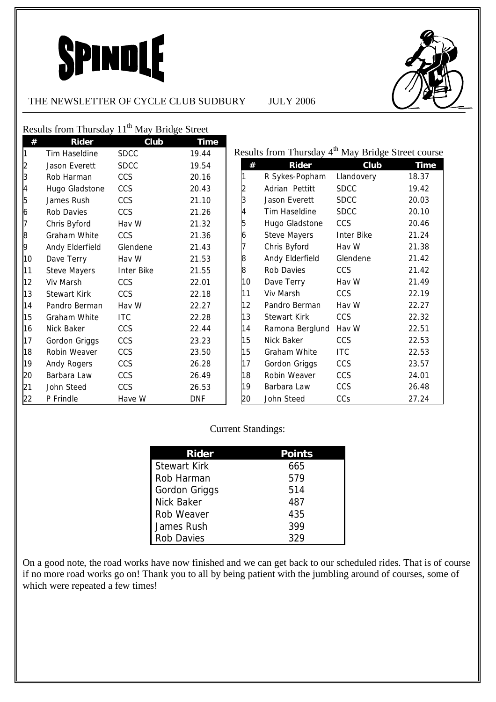#### THE NEWSLETTER OF CYCLE CLUB SUDBURY JULY 2006



Results from Thursday 11<sup>th</sup> May Bridge Street

| #  | <b>Rider</b>        | Club              | <b>Time</b> |    |                                                                |                   |             |
|----|---------------------|-------------------|-------------|----|----------------------------------------------------------------|-------------------|-------------|
|    | Tim Haseldine       | <b>SDCC</b>       | 19.44       |    | Results from Thursday 4 <sup>th</sup> May Bridge Street course |                   |             |
| 2  | Jason Everett       | <b>SDCC</b>       | 19.54       |    | <b>Rider</b><br>#                                              | Club              | <b>Time</b> |
| 3  | Rob Harman          | <b>CCS</b>        | 20.16       |    | R Sykes-Popham                                                 | Llandovery        | 18.37       |
| 4  | Hugo Gladstone      | <b>CCS</b>        | 20.43       |    | Adrian Pettitt                                                 | <b>SDCC</b>       | 19.42       |
| 5  | James Rush          | <b>CCS</b>        | 21.10       | 3  | Jason Everett                                                  | <b>SDCC</b>       | 20.03       |
| 6  | Rob Davies          | <b>CCS</b>        | 21.26       | 4  | Tim Haseldine                                                  | <b>SDCC</b>       | 20.10       |
|    | Chris Byford        | Hav W             | 21.32       | 5  | Hugo Gladstone                                                 | CCS               | 20.46       |
| 8  | Graham White        | <b>CCS</b>        | 21.36       | 6  | <b>Steve Mayers</b>                                            | <b>Inter Bike</b> | 21.24       |
| 9  | Andy Elderfield     | Glendene          | 21.43       |    | Chris Byford                                                   | Hav W             | 21.38       |
| 10 | Dave Terry          | Hav W             | 21.53       | 8  | Andy Elderfield                                                | Glendene          | 21.42       |
| 11 | <b>Steve Mayers</b> | <b>Inter Bike</b> | 21.55       | 8  | Rob Davies                                                     | CCS               | 21.42       |
| 12 | Viv Marsh           | <b>CCS</b>        | 22.01       | 10 | Dave Terry                                                     | Hav W             | 21.49       |
| 13 | <b>Stewart Kirk</b> | <b>CCS</b>        | 22.18       | 11 | Viv Marsh                                                      | CCS               | 22.19       |
| 14 | Pandro Berman       | Hav W             | 22.27       | 12 | Pandro Berman                                                  | Hav W             | 22.27       |
| 15 | Graham White        | <b>ITC</b>        | 22.28       | 13 | <b>Stewart Kirk</b>                                            | CCS               | 22.32       |
| 16 | Nick Baker          | <b>CCS</b>        | 22.44       | 14 | Ramona Berglund                                                | Hav W             | 22.51       |
| 17 | Gordon Griggs       | CCS               | 23.23       | 15 | Nick Baker                                                     | CCS               | 22.53       |
| 18 | Robin Weaver        | <b>CCS</b>        | 23.50       | 15 | Graham White                                                   | <b>ITC</b>        | 22.53       |
| 19 | Andy Rogers         | CCS               | 26.28       | 17 | Gordon Griggs                                                  | CCS               | 23.57       |
| 20 | Barbara Law         | <b>CCS</b>        | 26.49       | 18 | Robin Weaver                                                   | <b>CCS</b>        | 24.01       |
| 21 | John Steed          | CCS               | 26.53       | 19 | Barbara Law                                                    | CCS               | 26.48       |
| 22 | P Frindle           | Have W            | <b>DNF</b>  | 20 | John Steed                                                     | CCs               | 27.24       |

#### Current Standings:

| <b>Rider</b>        | <b>Points</b> |
|---------------------|---------------|
| <b>Stewart Kirk</b> | 665           |
| Rob Harman          | 579           |
| Gordon Griggs       | 514           |
| <b>Nick Baker</b>   | 487           |
| Rob Weaver          | 435           |
| James Rush          | 399           |
| <b>Rob Davies</b>   | 329           |

On a good note, the road works have now finished and we can get back to our scheduled rides. That is of course if no more road works go on! Thank you to all by being patient with the jumbling around of courses, some of which were repeated a few times!